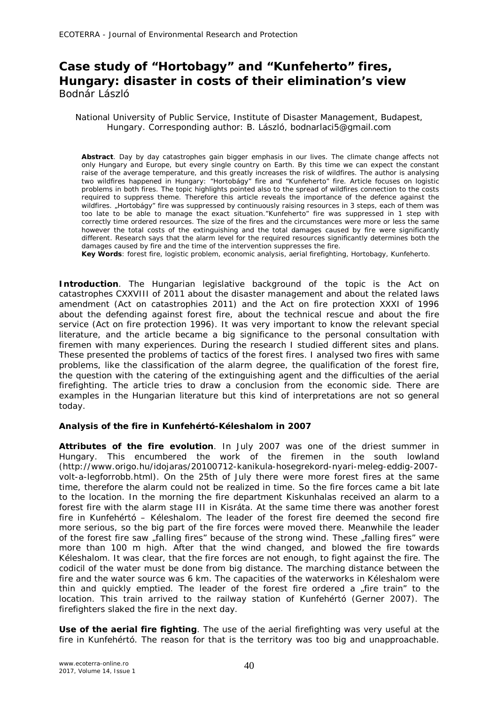# **Case study of "Hortobagy" and "Kunfeherto" fires, Hungary: disaster in costs of their elimination's view** Bodnár László

#### National University of Public Service, Institute of Disaster Management, Budapest, Hungary. Corresponding author: B. László, bodnarlaci5@gmail.com

**Abstract**. Day by day catastrophes gain bigger emphasis in our lives. The climate change affects not only Hungary and Europe, but every single country on Earth. By this time we can expect the constant raise of the average temperature, and this greatly increases the risk of wildfires. The author is analysing two wildfires happened in Hungary: "Hortobágy" fire and "Kunfeherto" fire. Article focuses on logistic problems in both fires. The topic highlights pointed also to the spread of wildfires connection to the costs required to suppress theme. Therefore this article reveals the importance of the defence against the wildfires. "Hortobágy" fire was suppressed by continuously raising resources in 3 steps, each of them was too late to be able to manage the exact situation."Kunfeherto" fire was suppressed in 1 step with correctly time ordered resources. The size of the fires and the circumstances were more or less the same however the total costs of the extinguishing and the total damages caused by fire were significantly different. Research says that the alarm level for the required resources significantly determines both the damages caused by fire and the time of the intervention suppresses the fire.

**Key Words**: forest fire, logistic problem, economic analysis, aerial firefighting, Hortobagy, Kunfeherto.

**Introduction**. The Hungarian legislative background of the topic is the Act on catastrophes CXXVIII of 2011 about the disaster management and about the related laws amendment (Act on catastrophies 2011) and the Act on fire protection XXXI of 1996 about the defending against forest fire, about the technical rescue and about the fire service (Act on fire protection 1996). It was very important to know the relevant special literature, and the article became a big significance to the personal consultation with firemen with many experiences. During the research I studied different sites and plans. These presented the problems of tactics of the forest fires. I analysed two fires with same problems, like the classification of the alarm degree, the qualification of the forest fire, the question with the catering of the extinguishing agent and the difficulties of the aerial firefighting. The article tries to draw a conclusion from the economic side. There are examples in the Hungarian literature but this kind of interpretations are not so general today.

### **Analysis of the fire in Kunfehértó-Kéleshalom in 2007**

*Attributes of the fire evolution.* In July 2007 was one of the driest summer in Hungary. This encumbered the work of the firemen in the south lowland (http://www.origo.hu/idojaras/20100712-kanikula-hosegrekord-nyari-meleg-eddig-2007 volt-a-legforrobb.html). On the 25th of July there were more forest fires at the same time, therefore the alarm could not be realized in time. So the fire forces came a bit late to the location. In the morning the fire department Kiskunhalas received an alarm to a forest fire with the alarm stage III in Kisráta. At the same time there was another forest fire in Kunfehértó – Kéleshalom. The leader of the forest fire deemed the second fire more serious, so the big part of the fire forces were moved there. Meanwhile the leader of the forest fire saw "falling fires" because of the strong wind. These "falling fires" were more than 100 m high. After that the wind changed, and blowed the fire towards Kéleshalom. It was clear, that the fire forces are not enough, to fight against the fire. The codicil of the water must be done from big distance. The marching distance between the fire and the water source was 6 km. The capacities of the waterworks in Kéleshalom were thin and quickly emptied. The leader of the forest fire ordered a "fire train" to the location. This train arrived to the railway station of Kunfehértó (Gerner 2007). The firefighters slaked the fire in the next day.

*Use of the aerial fire fighting.* The use of the aerial firefighting was very useful at the fire in Kunfehértó. The reason for that is the territory was too big and unapproachable.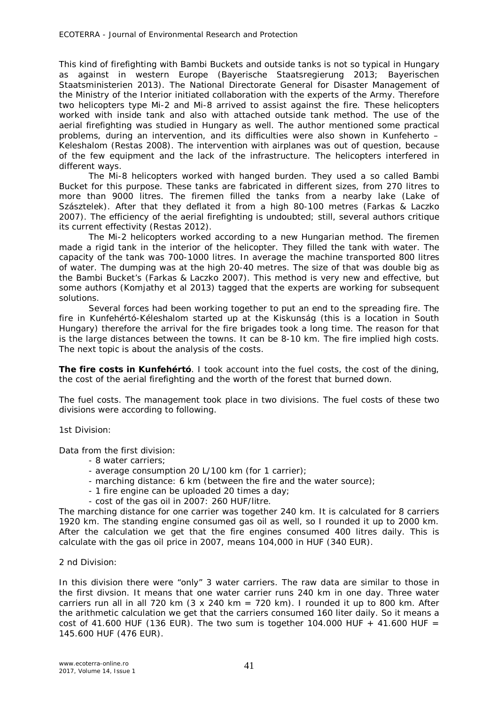This kind of firefighting with Bambi Buckets and outside tanks is not so typical in Hungary as against in western Europe (Bayerische Staatsregierung 2013; Bayerischen Staatsministerien 2013). The National Directorate General for Disaster Management of the Ministry of the Interior initiated collaboration with the experts of the Army. Therefore two helicopters type Mi-2 and Mi-8 arrived to assist against the fire. These helicopters worked with inside tank and also with attached outside tank method. The use of the aerial firefighting was studied in Hungary as well. The author mentioned some practical problems, during an intervention, and its difficulties were also shown in Kunfeherto – Keleshalom (Restas 2008). The intervention with airplanes was out of question, because of the few equipment and the lack of the infrastructure. The helicopters interfered in different ways.

The Mi-8 helicopters worked with hanged burden. They used a so called Bambi Bucket for this purpose. These tanks are fabricated in different sizes, from 270 litres to more than 9000 litres*.* The firemen filled the tanks from a nearby lake (Lake of Szásztelek). After that they deflated it from a high 80-100 metres (Farkas & Laczko 2007). The efficiency of the aerial firefighting is undoubted; still, several authors critique its current effectivity (Restas 2012).

The Mi-2 helicopters worked according to a new Hungarian method. The firemen made a rigid tank in the interior of the helicopter. They filled the tank with water. The capacity of the tank was 700-1000 litres. In average the machine transported 800 litres of water. The dumping was at the high 20-40 metres. The size of that was double big as the Bambi Bucket's (Farkas & Laczko 2007). This method is very new and effective, but some authors (Komjathy et al 2013) tagged that the experts are working for subsequent solutions.

Several forces had been working together to put an end to the spreading fire. The fire in Kunfehértó-Kéleshalom started up at the Kiskunság (this is a location in South Hungary) therefore the arrival for the fire brigades took a long time. The reason for that is the large distances between the towns. It can be 8-10 km. The fire implied high costs. The next topic is about the analysis of the costs.

*The fire costs in Kunfehértó.* I took account into the fuel costs, the cost of the dining, the cost of the aerial firefighting and the worth of the forest that burned down.

*The fuel costs.* The management took place in two divisions. The fuel costs of these two divisions were according to following.

1st Division:

Data from the first division:

- 8 water carriers;
- average consumption 20 L/100 km (for 1 carrier);
- marching distance: 6 km (between the fire and the water source);
- 1 fire engine can be uploaded 20 times a day;
- cost of the gas oil in 2007: 260 HUF/litre.

The marching distance for one carrier was together 240 km. It is calculated for 8 carriers 1920 km. The standing engine consumed gas oil as well, so I rounded it up to 2000 km. After the calculation we get that the fire engines consumed 400 litres daily. This is calculate with the gas oil price in 2007, means 104,000 in HUF (340 EUR).

2 nd Division:

In this division there were "only" 3 water carriers. The raw data are similar to those in the first divsion. It means that one water carrier runs 240 km in one day. Three water carriers run all in all 720 km  $(3 \times 240 \text{ km} = 720 \text{ km})$ . I rounded it up to 800 km. After the arithmetic calculation we get that the carriers consumed 160 liter daily. So it means a cost of 41.600 HUF (136 EUR). The two sum is together 104.000 HUF + 41.600 HUF = 145.600 HUF (476 EUR).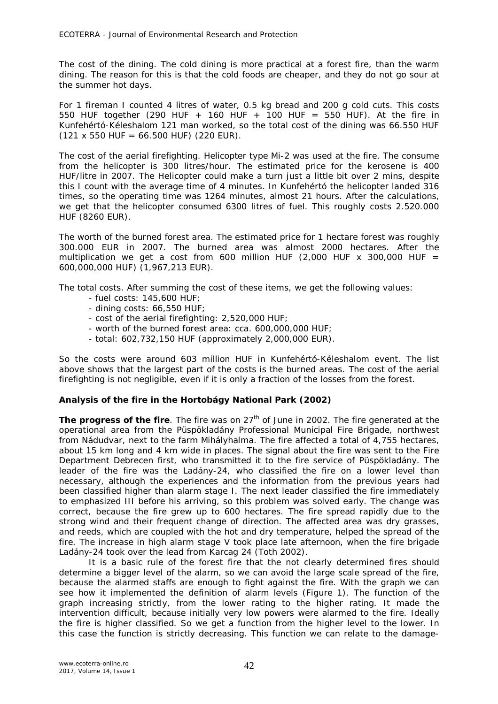*The cost of the dining.* The cold dining is more practical at a forest fire, than the warm dining. The reason for this is that the cold foods are cheaper, and they do not go sour at the summer hot days.

For 1 fireman I counted 4 litres of water, 0.5 kg bread and 200 g cold cuts. This costs 550 HUF together (290 HUF + 160 HUF + 100 HUF = 550 HUF). At the fire in Kunfehértó-Kéleshalom 121 man worked, so the total cost of the dining was 66.550 HUF  $(121 \times 550 \text{ HUF} = 66.500 \text{ HUF})$  (220 EUR).

*The cost of the aerial firefighting.* Helicopter type Mi-2 was used at the fire. The consume from the helicopter is 300 litres/hour. The estimated price for the kerosene is 400 HUF/litre in 2007. The Helicopter could make a turn just a little bit over 2 mins, despite this I count with the average time of 4 minutes. In Kunfehértó the helicopter landed 316 times, so the operating time was 1264 minutes, almost 21 hours. After the calculations, we get that the helicopter consumed 6300 litres of fuel. This roughly costs 2.520.000 HUF (8260 EUR).

*The worth of the burned forest area.* The estimated price for 1 hectare forest was roughly 300.000 EUR in 2007. The burned area was almost 2000 hectares. After the multiplication we get a cost from 600 million HUF (2,000 HUF x 300,000 HUF = 600,000,000 HUF) (1,967,213 EUR).

*The total costs.* After summing the cost of these items, we get the following values:

- fuel costs: 145,600 HUF;
- dining costs: 66,550 HUF;
- cost of the aerial firefighting: 2,520,000 HUF;
- worth of the burned forest area: cca. 600,000,000 HUF;
- total: 602,732,150 HUF (approximately 2,000,000 EUR).

So the costs were around 603 million HUF in Kunfehértó-Kéleshalom event. The list above shows that the largest part of the costs is the burned areas. The cost of the aerial firefighting is not negligible, even if it is only a fraction of the losses from the forest.

## **Analysis of the fire in the Hortobágy National Park (2002)**

**The progress of the fire**. The fire was on 27<sup>th</sup> of June in 2002. The fire generated at the operational area from the Püspökladány Professional Municipal Fire Brigade, northwest from Nádudvar, next to the farm Mihályhalma. The fire affected a total of 4,755 hectares, about 15 km long and 4 km wide in places. The signal about the fire was sent to the Fire Department Debrecen first, who transmitted it to the fire service of Püspökladány. The leader of the fire was the Ladány-24, who classified the fire on a lower level than necessary, although the experiences and the information from the previous years had been classified higher than alarm stage I. The next leader classified the fire immediately to emphasized III before his arriving, so this problem was solved early. The change was correct, because the fire grew up to 600 hectares. The fire spread rapidly due to the strong wind and their frequent change of direction. The affected area was dry grasses, and reeds, which are coupled with the hot and dry temperature, helped the spread of the fire. The increase in high alarm stage V took place late afternoon, when the fire brigade Ladány-24 took over the lead from Karcag 24 (Toth 2002).

It is a basic rule of the forest fire that the not clearly determined fires should determine a bigger level of the alarm, so we can avoid the large scale spread of the fire, because the alarmed staffs are enough to fight against the fire. With the graph we can see how it implemented the definition of alarm levels (Figure 1). The function of the graph increasing strictly, from the lower rating to the higher rating. It made the intervention difficult, because initially very low powers were alarmed to the fire. Ideally the fire is higher classified. So we get a function from the higher level to the lower. In this case the function is strictly decreasing. This function we can relate to the damage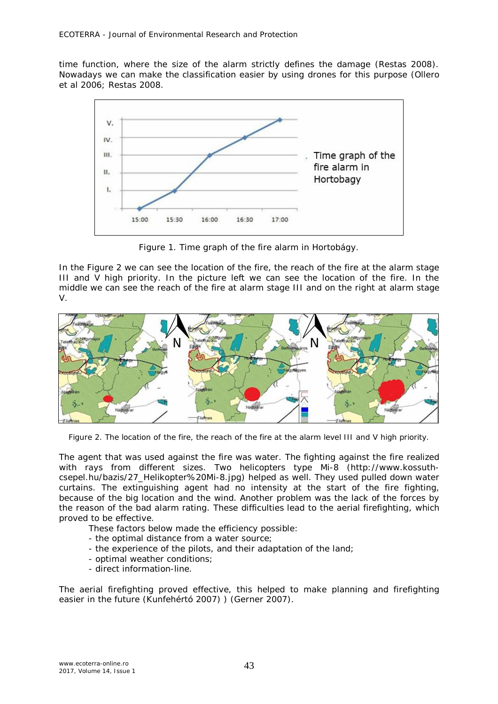time function, where the size of the alarm strictly defines the damage (Restas 2008). Nowadays we can make the classification easier by using drones for this purpose (Ollero et al 2006; Restas 2008.



Figure 1. Time graph of the fire alarm in Hortobágy.

In the Figure 2 we can see the location of the fire, the reach of the fire at the alarm stage III and V high priority. In the picture left we can see the location of the fire. In the middle we can see the reach of the fire at alarm stage III and on the right at alarm stage V.



Figure 2. The location of the fire, the reach of the fire at the alarm level III and V high priority.

The agent that was used against the fire was water. The fighting against the fire realized with rays from different sizes. Two helicopters type Mi-8 (http://www.kossuthcsepel.hu/bazis/27\_Helikopter%20Mi-8.jpg) helped as well. They used pulled down water curtains. The extinguishing agent had no intensity at the start of the fire fighting, because of the big location and the wind. Another problem was the lack of the forces by the reason of the bad alarm rating. These difficulties lead to the aerial firefighting, which proved to be effective.

These factors below made the efficiency possible:

- the optimal distance from a water source;
- the experience of the pilots, and their adaptation of the land;
- optimal weather conditions;
- direct information-line.

The aerial firefighting proved effective, this helped to make planning and firefighting easier in the future (Kunfehértó 2007) ) (Gerner 2007).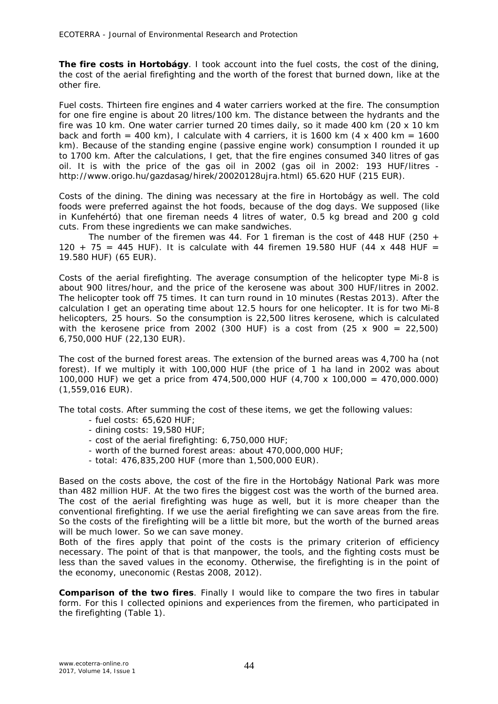*The fire costs in Hortobágy.* I took account into the fuel costs, the cost of the dining, the cost of the aerial firefighting and the worth of the forest that burned down, like at the other fire.

*Fuel costs.* Thirteen fire engines and 4 water carriers worked at the fire. The consumption for one fire engine is about 20 litres/100 km. The distance between the hydrants and the fire was 10 km. One water carrier turned 20 times daily, so it made 400 km (20 x 10 km back and forth = 400 km), I calculate with 4 carriers, it is 1600 km  $(4 \times 400 \text{ km} = 1600$ km). Because of the standing engine (passive engine work) consumption I rounded it up to 1700 km. After the calculations, I get, that the fire engines consumed 340 litres of gas oil. It is with the price of the gas oil in 2002 (gas oil in 2002: 193 HUF/litres http://www.origo.hu/gazdasag/hirek/20020128ujra.html) 65.620 HUF (215 EUR).

*Costs of the dining.* The dining was necessary at the fire in Hortobágy as well. The cold foods were preferred against the hot foods, because of the dog days. We supposed (like in Kunfehértó) that one fireman needs 4 litres of water, 0.5 kg bread and 200 g cold cuts. From these ingredients we can make sandwiches.

The number of the firemen was 44. For 1 fireman is the cost of 448 HUF (250  $+$ 120 + 75 = 445 HUF). It is calculate with 44 firemen 19.580 HUF (44 x 448 HUF = 19.580 HUF) (65 EUR).

*Costs of the aerial firefighting.* The average consumption of the helicopter type Mi-8 is about 900 litres/hour, and the price of the kerosene was about 300 HUF/litres in 2002. The helicopter took off 75 times. It can turn round in 10 minutes (Restas 2013). After the calculation I get an operating time about 12.5 hours for one helicopter. It is for two Mi-8 helicopters, 25 hours. So the consumption is 22,500 litres kerosene, which is calculated with the kerosene price from 2002 (300 HUF) is a cost from  $(25 \times 900 = 22,500)$ 6,750,000 HUF (22,130 EUR).

*The cost of the burned forest areas.* The extension of the burned areas was 4,700 ha (not forest). If we multiply it with 100,000 HUF (the price of 1 ha land in 2002 was about 100,000 HUF) we get a price from 474,500,000 HUF (4,700 x 100,000 = 470,000.000) (1,559,016 EUR).

*The total costs.* After summing the cost of these items, we get the following values:

- fuel costs: 65,620 HUF;
- dining costs: 19,580 HUF;
- cost of the aerial firefighting: 6,750,000 HUF;
- worth of the burned forest areas: about 470,000,000 HUF;
- total: 476,835,200 HUF (more than 1,500,000 EUR).

Based on the costs above, the cost of the fire in the Hortobágy National Park was more than 482 million HUF. At the two fires the biggest cost was the worth of the burned area. The cost of the aerial firefighting was huge as well, but it is more cheaper than the conventional firefighting. If we use the aerial firefighting we can save areas from the fire. So the costs of the firefighting will be a little bit more, but the worth of the burned areas will be much lower. So we can save money.

Both of the fires apply that point of the costs is the primary criterion of efficiency necessary. The point of that is that manpower, the tools, and the fighting costs must be less than the saved values in the economy. Otherwise, the firefighting is in the point of the economy, uneconomic (Restas 2008, 2012).

**Comparison of the two fires**. Finally I would like to compare the two fires in tabular form. For this I collected opinions and experiences from the firemen, who participated in the firefighting (Table 1).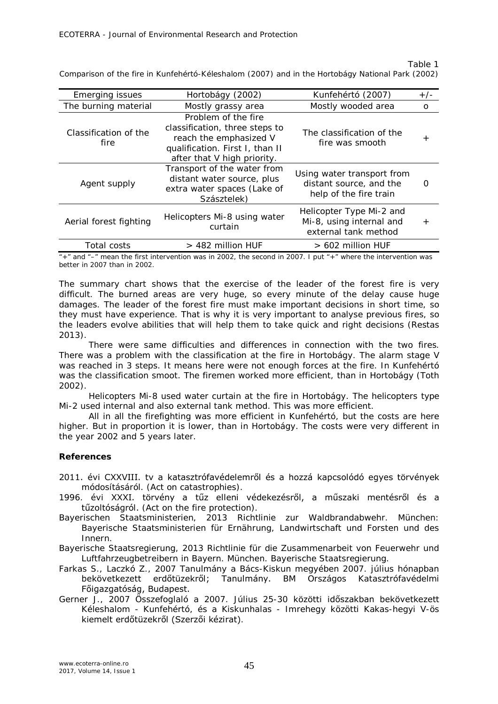Comparison of the fire in Kunfehértó-Kéleshalom (2007) and in the Hortobágy National Park (2002)

| <b>Emerging issues</b>        | Hortobágy (2002)                                                                                                                                  | Kunfehértó (2007)                                                               | $+/-$        |
|-------------------------------|---------------------------------------------------------------------------------------------------------------------------------------------------|---------------------------------------------------------------------------------|--------------|
| The burning material          | Mostly grassy area                                                                                                                                | Mostly wooded area                                                              | $\circ$      |
| Classification of the<br>fire | Problem of the fire<br>classification, three steps to<br>reach the emphasized V<br>qualification. First I, than II<br>after that V high priority. | The classification of the<br>fire was smooth                                    | $\mathrm{+}$ |
| Agent supply                  | Transport of the water from<br>distant water source, plus<br>extra water spaces (Lake of<br>Szásztelek)                                           | Using water transport from<br>distant source, and the<br>help of the fire train | ∩            |
| Aerial forest fighting        | Helicopters Mi-8 using water<br>curtain                                                                                                           | Helicopter Type Mi-2 and<br>Mi-8, using internal and<br>external tank method    | $^{+}$       |
| Total costs                   | $>$ 482 million HUF                                                                                                                               | $> 602$ million HUF                                                             |              |

 $*$  and  $*$  –" mean the first intervention was in 2002, the second in 2007. I put  $*$  +" where the intervention was better in 2007 than in 2002.

The summary chart shows that the exercise of the leader of the forest fire is very difficult. The burned areas are very huge, so every minute of the delay cause huge damages. The leader of the forest fire must make important decisions in short time, so they must have experience. That is why it is very important to analyse previous fires, so the leaders evolve abilities that will help them to take quick and right decisions (Restas 2013).

There were same difficulties and differences in connection with the two fires. There was a problem with the classification at the fire in Hortobágy. The alarm stage V was reached in 3 steps. It means here were not enough forces at the fire. In Kunfehértó was the classification smoot. The firemen worked more efficient, than in Hortobágy (Toth 2002).

Helicopters Mi-8 used water curtain at the fire in Hortobágy. The helicopters type Mi-2 used internal and also external tank method. This was more efficient.

All in all the firefighting was more efficient in Kunfehértó, but the costs are here higher. But in proportion it is lower, than in Hortobágy. The costs were very different in the year 2002 and 5 years later.

### **References**

2011. évi CXXVIII. tv a katasztrófavédelemről és a hozzá kapcsolódó egyes törvények módosításáról. (Act on catastrophies).

- 1996. évi XXXI. törvény a tűz elleni védekezésről, a műszaki mentésről és a tűzoltóságról. (Act on the fire protection).
- Bayerischen Staatsministerien, 2013 Richtlinie zur Waldbrandabwehr. München: Bayerische Staatsministerien für Ernährung, Landwirtschaft und Forsten und des Innern.

Bayerische Staatsregierung, 2013 Richtlinie für die Zusammenarbeit von Feuerwehr und Luftfahrzeugbetreibern in Bayern. München. Bayerische Staatsregierung.

- Farkas S., Laczkó Z., 2007 Tanulmány a Bács-Kiskun megyében 2007. július hónapban bekövetkezett erdőtüzekről; Tanulmány. BM Országos Katasztrófavédelmi Főigazgatóság, Budapest.
- Gerner J., 2007 Összefoglaló a 2007. Július 25-30 közötti időszakban bekövetkezett Kéleshalom - Kunfehértó, és a Kiskunhalas - Imrehegy közötti Kakas-hegyi V-ös kiemelt erdőtüzekről (Szerzői kézirat).